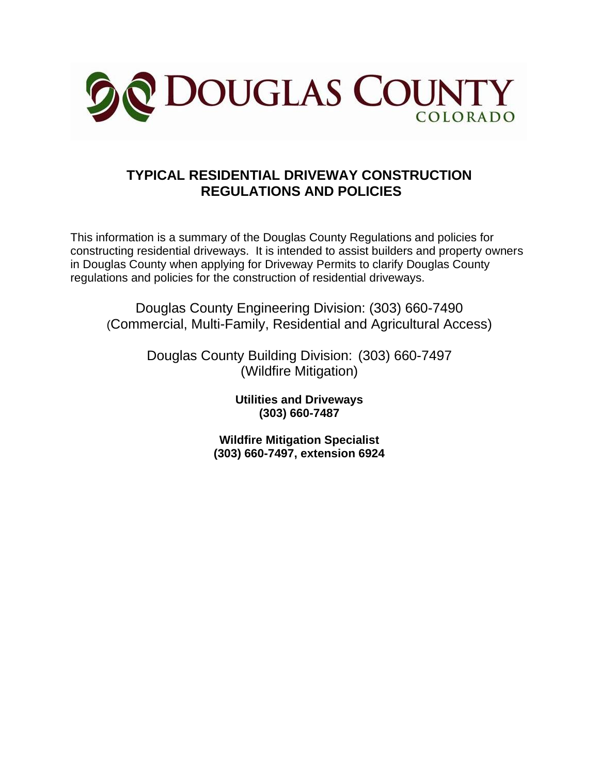

## **TYPICAL RESIDENTIAL DRIVEWAY CONSTRUCTION REGULATIONS AND POLICIES**

This information is a summary of the Douglas County Regulations and policies for constructing residential driveways. It is intended to assist builders and property owners in Douglas County when applying for Driveway Permits to clarify Douglas County regulations and policies for the construction of residential driveways.

Douglas County Engineering Division: (303) 660-7490 (Commercial, Multi-Family, Residential and Agricultural Access)

> Douglas County Building Division: (303) 660-7497 (Wildfire Mitigation)

> > **Utilities and Driveways (303) 660-7487**

**Wildfire Mitigation Specialist (303) 660-7497, extension 6924**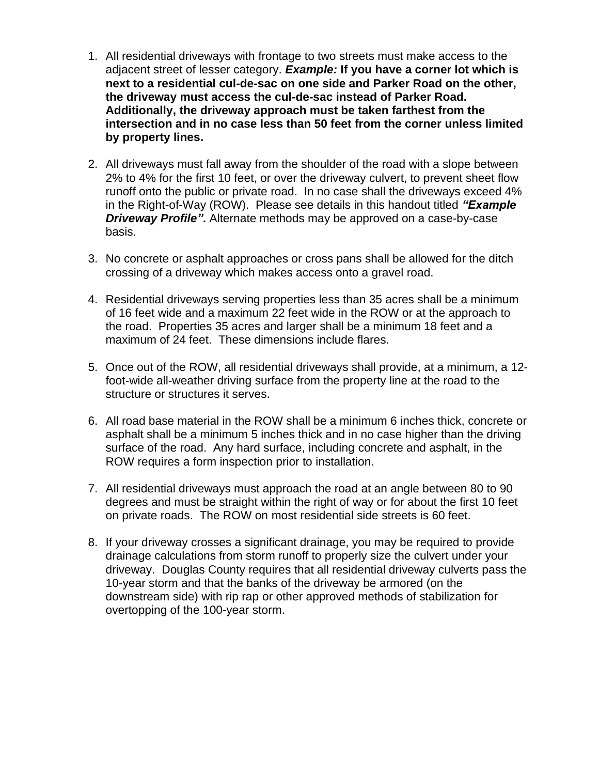- 1. All residential driveways with frontage to two streets must make access to the adjacent street of lesser category. *Example:* **If you have a corner lot which is next to a residential cul-de-sac on one side and Parker Road on the other, the driveway must access the cul-de-sac instead of Parker Road. Additionally, the driveway approach must be taken farthest from the intersection and in no case less than 50 feet from the corner unless limited by property lines.**
- 2. All driveways must fall away from the shoulder of the road with a slope between 2% to 4% for the first 10 feet, or over the driveway culvert, to prevent sheet flow runoff onto the public or private road. In no case shall the driveways exceed 4% in the Right-of-Way (ROW). Please see details in this handout titled *"Example Driveway Profile".* Alternate methods may be approved on a case-by-case basis.
- 3. No concrete or asphalt approaches or cross pans shall be allowed for the ditch crossing of a driveway which makes access onto a gravel road.
- 4. Residential driveways serving properties less than 35 acres shall be a minimum of 16 feet wide and a maximum 22 feet wide in the ROW or at the approach to the road. Properties 35 acres and larger shall be a minimum 18 feet and a maximum of 24 feet. These dimensions include flares.
- 5. Once out of the ROW, all residential driveways shall provide, at a minimum, a 12 foot-wide all-weather driving surface from the property line at the road to the structure or structures it serves.
- 6. All road base material in the ROW shall be a minimum 6 inches thick, concrete or asphalt shall be a minimum 5 inches thick and in no case higher than the driving surface of the road. Any hard surface, including concrete and asphalt, in the ROW requires a form inspection prior to installation.
- 7. All residential driveways must approach the road at an angle between 80 to 90 degrees and must be straight within the right of way or for about the first 10 feet on private roads. The ROW on most residential side streets is 60 feet.
- 8. If your driveway crosses a significant drainage, you may be required to provide drainage calculations from storm runoff to properly size the culvert under your driveway. Douglas County requires that all residential driveway culverts pass the 10-year storm and that the banks of the driveway be armored (on the downstream side) with rip rap or other approved methods of stabilization for overtopping of the 100-year storm.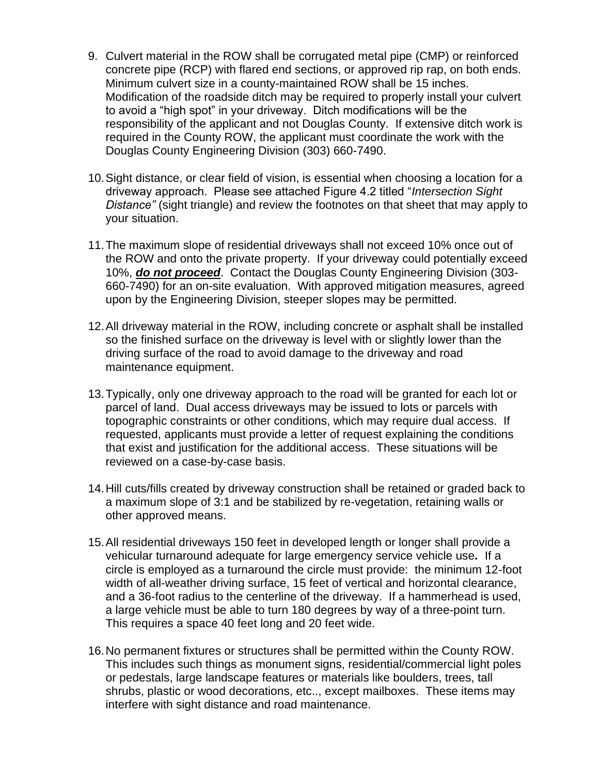- 9. Culvert material in the ROW shall be corrugated metal pipe (CMP) or reinforced concrete pipe (RCP) with flared end sections, or approved rip rap, on both ends. Minimum culvert size in a county-maintained ROW shall be 15 inches. Modification of the roadside ditch may be required to properly install your culvert to avoid a "high spot" in your driveway. Ditch modifications will be the responsibility of the applicant and not Douglas County. If extensive ditch work is required in the County ROW, the applicant must coordinate the work with the Douglas County Engineering Division (303) 660-7490.
- 10.Sight distance, or clear field of vision, is essential when choosing a location for a driveway approach. Please see attached Figure 4.2 titled "*Intersection Sight Distance"* (sight triangle) and review the footnotes on that sheet that may apply to your situation.
- 11.The maximum slope of residential driveways shall not exceed 10% once out of the ROW and onto the private property. If your driveway could potentially exceed 10%, *do not proceed*. Contact the Douglas County Engineering Division (303- 660-7490) for an on-site evaluation. With approved mitigation measures, agreed upon by the Engineering Division, steeper slopes may be permitted.
- 12.All driveway material in the ROW, including concrete or asphalt shall be installed so the finished surface on the driveway is level with or slightly lower than the driving surface of the road to avoid damage to the driveway and road maintenance equipment.
- 13.Typically, only one driveway approach to the road will be granted for each lot or parcel of land. Dual access driveways may be issued to lots or parcels with topographic constraints or other conditions, which may require dual access. If requested, applicants must provide a letter of request explaining the conditions that exist and justification for the additional access. These situations will be reviewed on a case-by-case basis.
- 14.Hill cuts/fills created by driveway construction shall be retained or graded back to a maximum slope of 3:1 and be stabilized by re-vegetation, retaining walls or other approved means.
- 15.All residential driveways 150 feet in developed length or longer shall provide a vehicular turnaround adequate for large emergency service vehicle use*.* If a circle is employed as a turnaround the circle must provide: the minimum 12-foot width of all-weather driving surface, 15 feet of vertical and horizontal clearance, and a 36-foot radius to the centerline of the driveway. If a hammerhead is used, a large vehicle must be able to turn 180 degrees by way of a three-point turn. This requires a space 40 feet long and 20 feet wide.
- 16.No permanent fixtures or structures shall be permitted within the County ROW. This includes such things as monument signs, residential/commercial light poles or pedestals, large landscape features or materials like boulders, trees, tall shrubs, plastic or wood decorations, etc.., except mailboxes. These items may interfere with sight distance and road maintenance.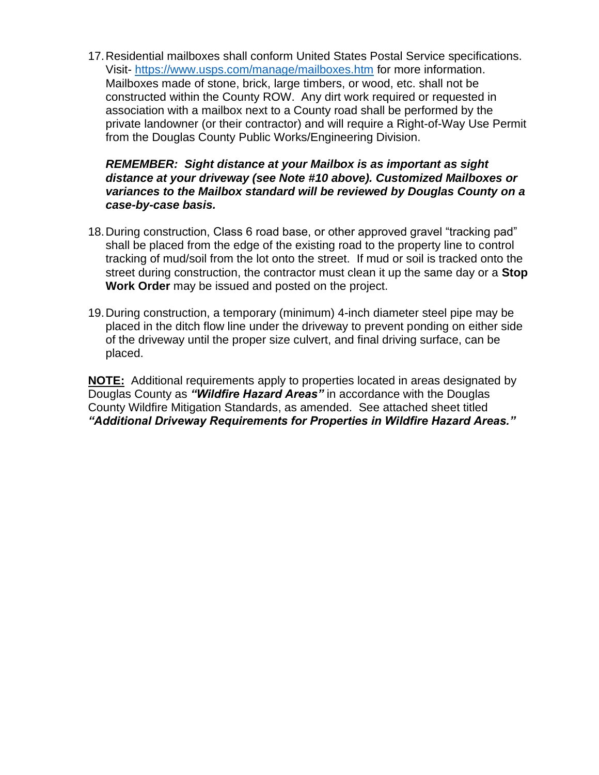17.Residential mailboxes shall conform United States Postal Service specifications. Visit- <https://www.usps.com/manage/mailboxes.htm> for more information. Mailboxes made of stone, brick, large timbers, or wood, etc. shall not be constructed within the County ROW. Any dirt work required or requested in association with a mailbox next to a County road shall be performed by the private landowner (or their contractor) and will require a Right-of-Way Use Permit from the Douglas County Public Works/Engineering Division.

## *REMEMBER: Sight distance at your Mailbox is as important as sight distance at your driveway (see Note #10 above). Customized Mailboxes or variances to the Mailbox standard will be reviewed by Douglas County on a case-by-case basis.*

- 18.During construction, Class 6 road base, or other approved gravel "tracking pad" shall be placed from the edge of the existing road to the property line to control tracking of mud/soil from the lot onto the street. If mud or soil is tracked onto the street during construction, the contractor must clean it up the same day or a **Stop Work Order** may be issued and posted on the project.
- 19.During construction, a temporary (minimum) 4-inch diameter steel pipe may be placed in the ditch flow line under the driveway to prevent ponding on either side of the driveway until the proper size culvert, and final driving surface, can be placed.

**NOTE:** Additional requirements apply to properties located in areas designated by Douglas County as *"Wildfire Hazard Areas"* in accordance with the Douglas County Wildfire Mitigation Standards, as amended. See attached sheet titled *"Additional Driveway Requirements for Properties in Wildfire Hazard Areas."*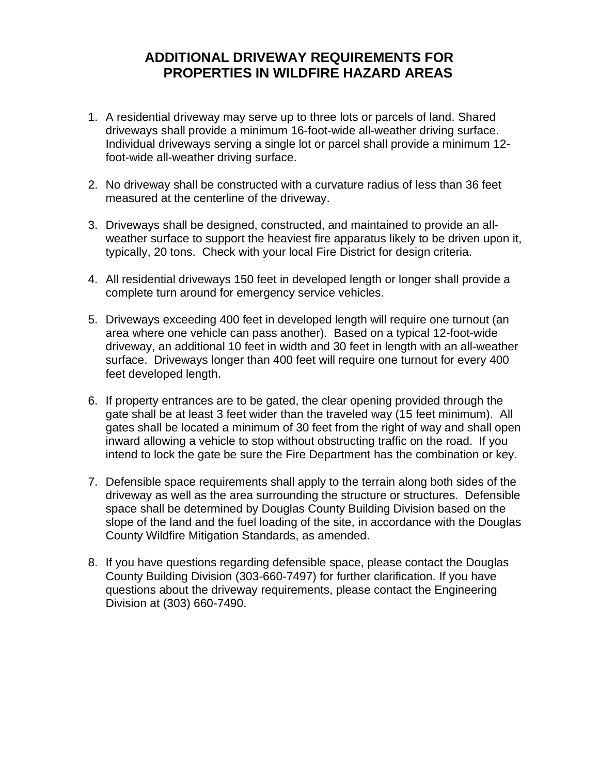## **ADDITIONAL DRIVEWAY REQUIREMENTS FOR PROPERTIES IN WILDFIRE HAZARD AREAS**

- 1. A residential driveway may serve up to three lots or parcels of land. Shared driveways shall provide a minimum 16-foot-wide all-weather driving surface. Individual driveways serving a single lot or parcel shall provide a minimum 12 foot-wide all-weather driving surface.
- 2. No driveway shall be constructed with a curvature radius of less than 36 feet measured at the centerline of the driveway.
- 3. Driveways shall be designed, constructed, and maintained to provide an allweather surface to support the heaviest fire apparatus likely to be driven upon it, typically, 20 tons. Check with your local Fire District for design criteria.
- 4. All residential driveways 150 feet in developed length or longer shall provide a complete turn around for emergency service vehicles.
- 5. Driveways exceeding 400 feet in developed length will require one turnout (an area where one vehicle can pass another). Based on a typical 12-foot-wide driveway, an additional 10 feet in width and 30 feet in length with an all-weather surface. Driveways longer than 400 feet will require one turnout for every 400 feet developed length.
- 6. If property entrances are to be gated, the clear opening provided through the gate shall be at least 3 feet wider than the traveled way (15 feet minimum). All gates shall be located a minimum of 30 feet from the right of way and shall open inward allowing a vehicle to stop without obstructing traffic on the road. If you intend to lock the gate be sure the Fire Department has the combination or key.
- 7. Defensible space requirements shall apply to the terrain along both sides of the driveway as well as the area surrounding the structure or structures. Defensible space shall be determined by Douglas County Building Division based on the slope of the land and the fuel loading of the site, in accordance with the Douglas County Wildfire Mitigation Standards, as amended.
- 8. If you have questions regarding defensible space, please contact the Douglas County Building Division (303-660-7497) for further clarification. If you have questions about the driveway requirements, please contact the Engineering Division at (303) 660-7490.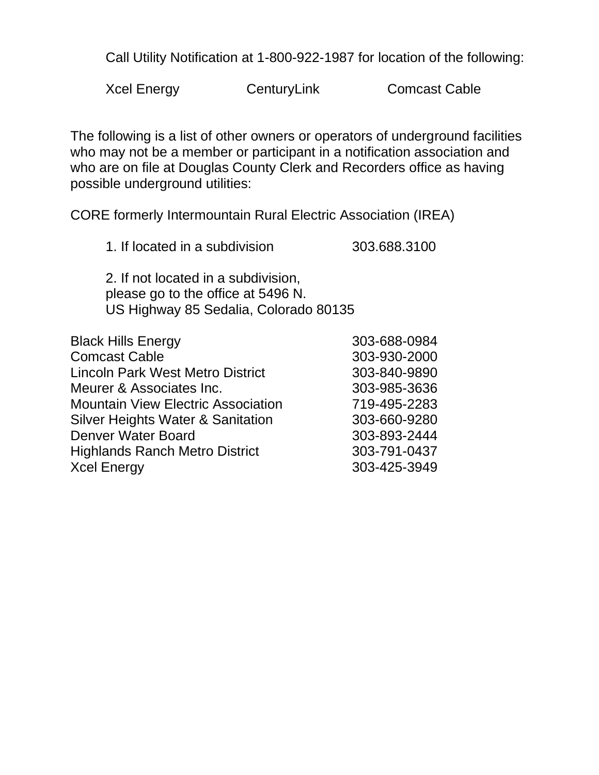Call Utility Notification at 1-800-922-1987 for location of the following:

Xcel Energy CenturyLink Comcast Cable

The following is a list of other owners or operators of underground facilities who may not be a member or participant in a notification association and who are on file at Douglas County Clerk and Recorders office as having possible underground utilities:

CORE formerly Intermountain Rural Electric Association (IREA)

1. If located in a subdivision 303.688.3100

2. If not located in a subdivision, please go to the office at 5496 N. US Highway 85 Sedalia, Colorado 80135

| <b>Black Hills Energy</b>                    | 303-688-0984 |
|----------------------------------------------|--------------|
| <b>Comcast Cable</b>                         | 303-930-2000 |
| <b>Lincoln Park West Metro District</b>      | 303-840-9890 |
| Meurer & Associates Inc.                     | 303-985-3636 |
| <b>Mountain View Electric Association</b>    | 719-495-2283 |
| <b>Silver Heights Water &amp; Sanitation</b> | 303-660-9280 |
| <b>Denver Water Board</b>                    | 303-893-2444 |
| <b>Highlands Ranch Metro District</b>        | 303-791-0437 |
| <b>Xcel Energy</b>                           | 303-425-3949 |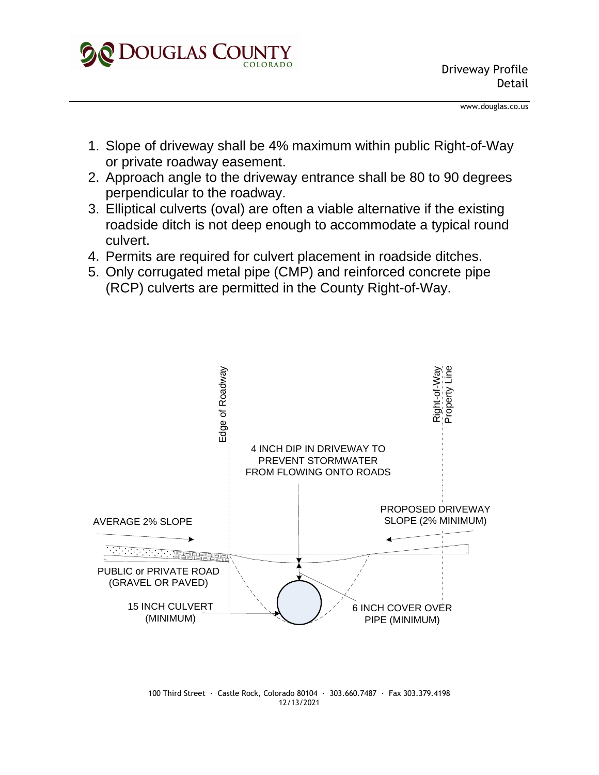

www.douglas.co.us

- 1. Slope of driveway shall be 4% maximum within public Right-of-Way or private roadway easement.
- 2. Approach angle to the driveway entrance shall be 80 to 90 degrees perpendicular to the roadway.
- 3. Elliptical culverts (oval) are often a viable alternative if the existing roadside ditch is not deep enough to accommodate a typical round culvert.
- 4. Permits are required for culvert placement in roadside ditches.
- 5. Only corrugated metal pipe (CMP) and reinforced concrete pipe (RCP) culverts are permitted in the County Right-of-Way.